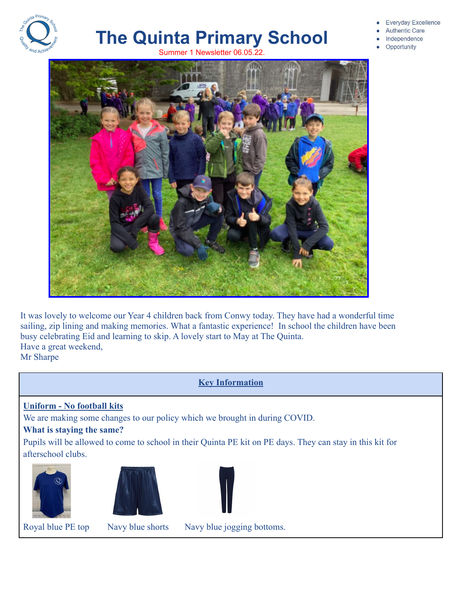

# **The Quinta Primary School** Summer 1 Newsletter 06.05.22



- **Authentic Care**
- Independence
- Opportunity



It was lovely to welcome our Year 4 children back from Conwy today. They have had a wonderful time sailing, zip lining and making memories. What a fantastic experience! In school the children have been busy celebrating Eid and learning to skip. A lovely start to May at The Quinta. Have a great weekend, Mr Sharpe

# **Key Information**

**Uniform - No football kits**

We are making some changes to our policy which we brought in during COVID.

#### **What is staying the same?**

Pupils will be allowed to come to school in their Quinta PE kit on PE days. They can stay in this kit for afterschool clubs.







Royal blue PE top Navy blue shorts Navy blue jogging bottoms.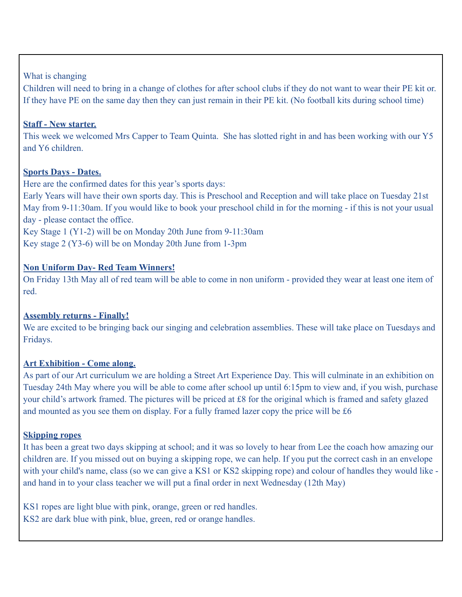## What is changing

Children will need to bring in a change of clothes for after school clubs if they do not want to wear their PE kit or. If they have PE on the same day then they can just remain in their PE kit. (No football kits during school time)

#### **Staff - New starter.**

This week we welcomed Mrs Capper to Team Quinta. She has slotted right in and has been working with our Y5 and Y6 children.

## **Sports Days - Dates.**

Here are the confirmed dates for this year's sports days:

Early Years will have their own sports day. This is Preschool and Reception and will take place on Tuesday 21st May from 9-11:30am. If you would like to book your preschool child in for the morning - if this is not your usual day - please contact the office.

Key Stage 1 (Y1-2) will be on Monday 20th June from 9-11:30am Key stage 2 (Y3-6) will be on Monday 20th June from 1-3pm

# **Non Uniform Day- Red Team Winners!**

On Friday 13th May all of red team will be able to come in non uniform - provided they wear at least one item of red.

# **Assembly returns - Finally!**

We are excited to be bringing back our singing and celebration assemblies. These will take place on Tuesdays and Fridays.

# **Art Exhibition - Come along.**

As part of our Art curriculum we are holding a Street Art Experience Day. This will culminate in an exhibition on Tuesday 24th May where you will be able to come after school up until 6:15pm to view and, if you wish, purchase your child's artwork framed. The pictures will be priced at £8 for the original which is framed and safety glazed and mounted as you see them on display. For a fully framed lazer copy the price will be £6

#### **Skipping ropes**

It has been a great two days skipping at school; and it was so lovely to hear from Lee the coach how amazing our children are. If you missed out on buying a skipping rope, we can help. If you put the correct cash in an envelope with your child's name, class (so we can give a KS1 or KS2 skipping rope) and colour of handles they would like and hand in to your class teacher we will put a final order in next Wednesday (12th May)

KS1 ropes are light blue with pink, orange, green or red handles. KS2 are dark blue with pink, blue, green, red or orange handles.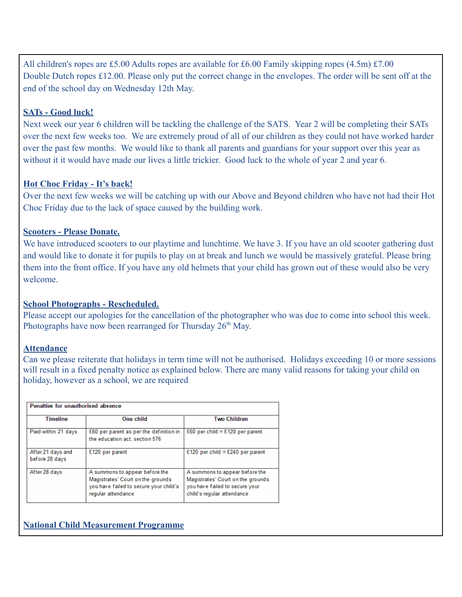All children's ropes are £5.00 Adults ropes are available for £6.00 Family skipping ropes (4.5m) £7.00 Double Dutch ropes £12.00. Please only put the correct change in the envelopes. The order will be sent off at the end of the school day on Wednesday 12th May.

## **SATs - Good luck!**

Next week our year 6 children will be tackling the challenge of the SATS. Year 2 will be completing their SATs over the next few weeks too. We are extremely proud of all of our children as they could not have worked harder over the past few months. We would like to thank all parents and guardians for your support over this year as without it it would have made our lives a little trickier. Good luck to the whole of year 2 and year 6.

# **Hot Choc Friday - It's back!**

Over the next few weeks we will be catching up with our Above and Beyond children who have not had their Hot Choc Friday due to the lack of space caused by the building work.

## **Scooters - Please Donate.**

We have introduced scooters to our playtime and lunchtime. We have 3. If you have an old scooter gathering dust and would like to donate it for pupils to play on at break and lunch we would be massively grateful. Please bring them into the front office. If you have any old helmets that your child has grown out of these would also be very welcome.

# **School Photographs - Rescheduled.**

Please accept our apologies for the cancellation of the photographer who was due to come into school this week. Photographs have now been rearranged for Thursday  $26<sup>th</sup>$  May.

#### **Attendance**

Can we please reiterate that holidays in term time will not be authorised. Holidays exceeding 10 or more sessions will result in a fixed penalty notice as explained below. There are many valid reasons for taking your child on holiday, however as a school, we are required

| Penalties for unauthorised absence  |                                                                                                                                     |                                                                                                                                     |  |  |  |
|-------------------------------------|-------------------------------------------------------------------------------------------------------------------------------------|-------------------------------------------------------------------------------------------------------------------------------------|--|--|--|
| <b>Timeline</b>                     | One child                                                                                                                           | <b>Two Children</b>                                                                                                                 |  |  |  |
| Paid within 21 days                 | £60 per parent as per the definition in<br>the education act, section 576                                                           | £60 per child = £120 per parent                                                                                                     |  |  |  |
| After 21 days and<br>before 28 days | £120 per parent                                                                                                                     | £120 per child = £240 per parent                                                                                                    |  |  |  |
| After 28 days                       | A summons to appear before the<br>Magistrates' Court on the grounds<br>you have failed to secure your child's<br>regular attendance | A summons to appear before the<br>Magistrates' Court on the grounds<br>you have failed to secure your<br>child's regular attendance |  |  |  |

# **National Child Measurement Programme**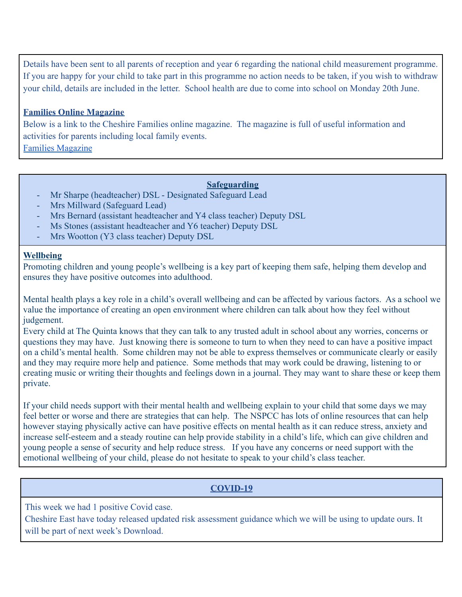Details have been sent to all parents of reception and year 6 regarding the national child measurement programme. If you are happy for your child to take part in this programme no action needs to be taken, if you wish to withdraw your child, details are included in the letter. School health are due to come into school on Monday 20th June.

#### **Families Online Magazine**

Below is a link to the Cheshire Families online magazine. The magazine is full of useful information and activities for parents including local family events. [Families Magazine](https://issuu.com/familiesonline/docs/familiescheshiremayjune22digital/16)

## **Safeguarding**

- Mr Sharpe (headteacher) DSL Designated Safeguard Lead
- Mrs Millward (Safeguard Lead)
- Mrs Bernard (assistant headteacher and Y4 class teacher) Deputy DSL
- Ms Stones (assistant headteacher and Y6 teacher) Deputy DSL
- Mrs Wootton (Y3 class teacher) Deputy DSL

#### **Wellbeing**

Promoting children and young people's wellbeing is a key part of keeping them safe, helping them develop and ensures they have positive outcomes into adulthood.

Mental health plays a key role in a child's overall wellbeing and can be affected by various factors. As a school we value the importance of creating an open environment where children can talk about how they feel without judgement.

Every child at The Quinta knows that they can talk to any trusted adult in school about any worries, concerns or questions they may have. Just knowing there is someone to turn to when they need to can have a positive impact on a child's mental health. Some children may not be able to express themselves or communicate clearly or easily and they may require more help and patience. Some methods that may work could be drawing, listening to or creating music or writing their thoughts and feelings down in a journal. They may want to share these or keep them private.

If your child needs support with their mental health and wellbeing explain to your child that some days we may feel better or worse and there are strategies that can help. The NSPCC has lots of online resources that can help however staying physically active can have positive effects on mental health as it can reduce stress, anxiety and increase self-esteem and a steady routine can help provide stability in a child's life, which can give children and young people a sense of security and help reduce stress. If you have any concerns or need support with the emotional wellbeing of your child, please do not hesitate to speak to your child's class teacher.

# **COVID-19**

This week we had 1 positive Covid case.

Cheshire East have today released updated risk assessment guidance which we will be using to update ours. It will be part of next week's Download.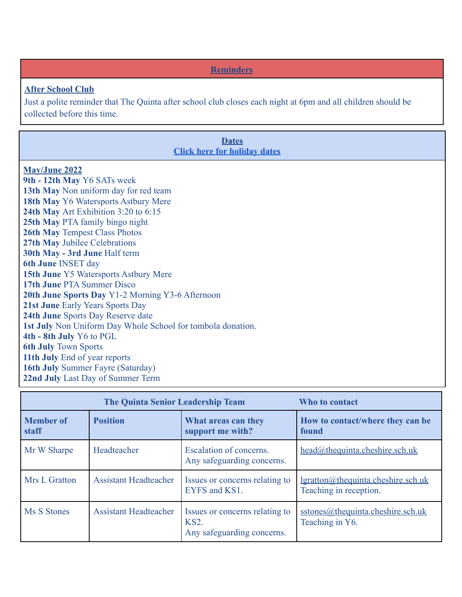**Reminders**

#### **After School Club**

Just a polite reminder that The Quinta after school club closes each night at 6pm and all children should be collected before this time.

#### **Dates [Click here for holiday dates](http://www.thequinta.cheshire.sch.uk/serve_file/2308637)**

## **May/June 2022**

**9th - 12th May** Y6 SATs week **13th May** Non uniform day for red team **18th May** Y6 Watersports Astbury Mere **24th May** Art Exhibition 3:20 to 6:15 **25th May** PTA family bingo night **26th May** Tempest Class Photos **27th May** Jubilee Celebrations **30th May - 3rd June** Half term **6th June** INSET day **15th June** Y5 Watersports Astbury Mere **17th June** PTA Summer Disco **20th June Sports Day** Y1-2 Morning Y3-6 Afternoon **21st June** Early Years Sports Day **24th June** Sports Day Reserve date **1st July** Non Uniform Day Whole School for tombola donation. **4th - 8th July** Y6 to PGL **6th July** Town Sports **11th July** End of year reports **16th July** Summer Fayre (Saturday) **22nd July** Last Day of Summer Term

|                           | <b>The Quinta Senior Leadership Team</b> | Who to contact                                                              |                                                                     |
|---------------------------|------------------------------------------|-----------------------------------------------------------------------------|---------------------------------------------------------------------|
| <b>Member of</b><br>staff | <b>Position</b>                          | What areas can they<br>support me with?                                     | How to contact/where they can be<br>found                           |
| Mr W Sharpe               | Headteacher                              | Escalation of concerns.<br>Any safeguarding concerns.                       | $head@$ thequinta.cheshire.sch.uk                                   |
| Mrs L Gratton             | <b>Assistant Headteacher</b>             | Issues or concerns relating to<br>EYFS and KS1.                             | <u>lgratton@thequinta.cheshire.sch.uk</u><br>Teaching in reception. |
| Ms S Stones               | <b>Assistant Headteacher</b>             | Issues or concerns relating to<br><b>KS2.</b><br>Any safeguarding concerns. | sstones@thequinta.cheshire.sch.uk<br>Teaching in Y6.                |